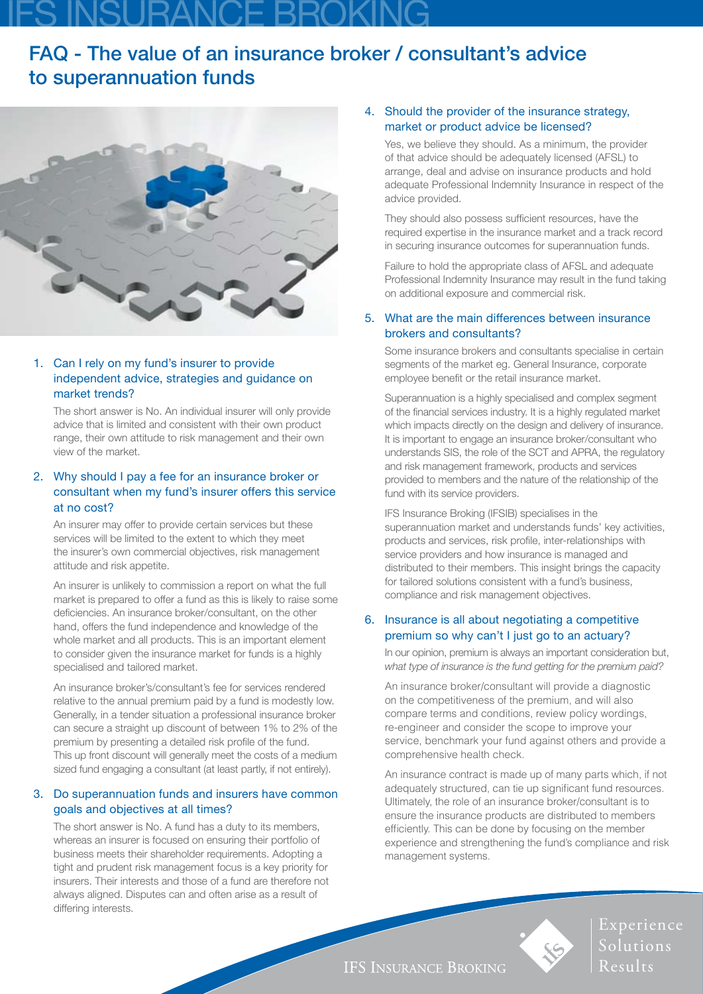# IFS INSURANCE BROKING

# FAQ - The value of an insurance broker / consultant's advice to superannuation funds



### 1. Can I rely on my fund's insurer to provide independent advice, strategies and guidance on market trends?

The short answer is No. An individual insurer will only provide advice that is limited and consistent with their own product range, their own attitude to risk management and their own view of the market.

### 2. Why should I pay a fee for an insurance broker or consultant when my fund's insurer offers this service at no cost?

An insurer may offer to provide certain services but these services will be limited to the extent to which they meet the insurer's own commercial objectives, risk management attitude and risk appetite.

An insurer is unlikely to commission a report on what the full market is prepared to offer a fund as this is likely to raise some deficiencies. An insurance broker/consultant, on the other hand, offers the fund independence and knowledge of the whole market and all products. This is an important element to consider given the insurance market for funds is a highly specialised and tailored market.

An insurance broker's/consultant's fee for services rendered relative to the annual premium paid by a fund is modestly low. Generally, in a tender situation a professional insurance broker can secure a straight up discount of between 1% to 2% of the premium by presenting a detailed risk profile of the fund. This up front discount will generally meet the costs of a medium sized fund engaging a consultant (at least partly, if not entirely).

# 3. Do superannuation funds and insurers have common goals and objectives at all times?

The short answer is No. A fund has a duty to its members, whereas an insurer is focused on ensuring their portfolio of business meets their shareholder requirements. Adopting a tight and prudent risk management focus is a key priority for insurers. Their interests and those of a fund are therefore not always aligned. Disputes can and often arise as a result of differing interests.

# 4. Should the provider of the insurance strategy, market or product advice be licensed?

Yes, we believe they should. As a minimum, the provider of that advice should be adequately licensed (AFSL) to arrange, deal and advise on insurance products and hold adequate Professional Indemnity Insurance in respect of the advice provided.

They should also possess sufficient resources, have the required expertise in the insurance market and a track record in securing insurance outcomes for superannuation funds.

Failure to hold the appropriate class of AFSL and adequate Professional Indemnity Insurance may result in the fund taking on additional exposure and commercial risk.

# 5. What are the main differences between insurance brokers and consultants?

Some insurance brokers and consultants specialise in certain segments of the market eg. General Insurance, corporate employee benefit or the retail insurance market.

Superannuation is a highly specialised and complex segment of the financial services industry. It is a highly regulated market which impacts directly on the design and delivery of insurance. It is important to engage an insurance broker/consultant who understands SIS, the role of the SCT and APRA, the regulatory and risk management framework, products and services provided to members and the nature of the relationship of the fund with its service providers.

IFS Insurance Broking (IFSIB) specialises in the superannuation market and understands funds' key activities, products and services, risk profile, inter-relationships with service providers and how insurance is managed and distributed to their members. This insight brings the capacity for tailored solutions consistent with a fund's business, compliance and risk management objectives.

### 6. Insurance is all about negotiating a competitive premium so why can't I just go to an actuary?

In our opinion, premium is always an important consideration but, *what type of insurance is the fund getting for the premium paid?*

An insurance broker/consultant will provide a diagnostic on the competitiveness of the premium, and will also compare terms and conditions, review policy wordings, re-engineer and consider the scope to improve your service, benchmark your fund against others and provide a comprehensive health check.

An insurance contract is made up of many parts which, if not adequately structured, can tie up significant fund resources. Ultimately, the role of an insurance broker/consultant is to ensure the insurance products are distributed to members efficiently. This can be done by focusing on the member experience and strengthening the fund's compliance and risk management systems.



Experience Solutions Results

**IFS INSURANCE BROKING**